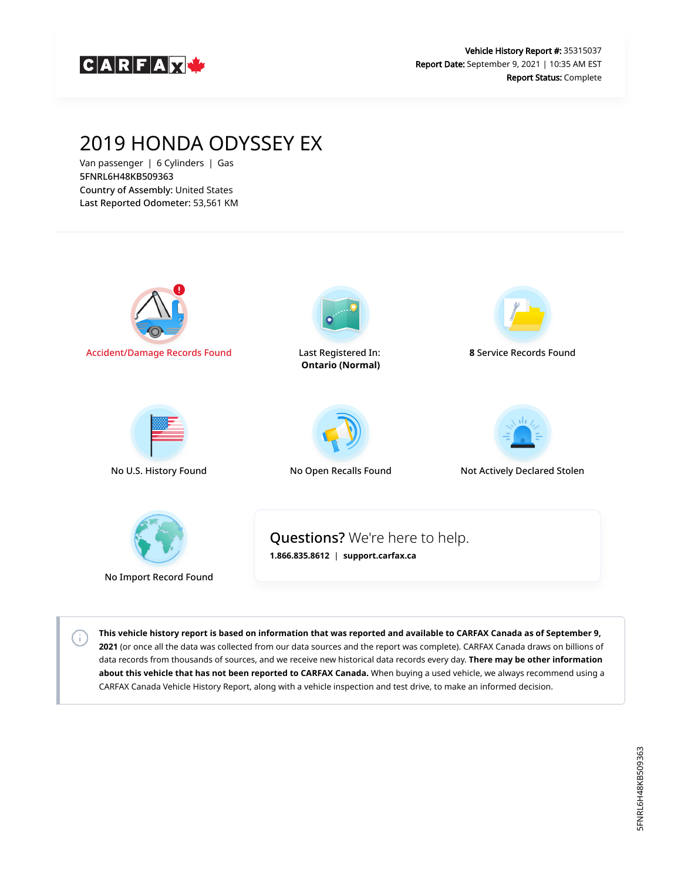

# 2019 HONDA ODYSSEY EX

Van passenger | 6 Cylinders | Gas 5FNRL6H48KB509363 Country of Assembly: United States Last Reported Odometer: 53,561 KM

 $\left( \cdot \right)$ 



**This vehicle history report is based on information that was reported and available to CARFAX Canada as of September 9, 2021** (or once all the data was collected from our data sources and the report was complete). CARFAX Canada draws on billions of data records from thousands of sources, and we receive new historical data records every day. **There may be other information about this vehicle that has not been reported to CARFAX Canada.** When buying a used vehicle, we always recommend using a CARFAX Canada Vehicle History Report, along with a vehicle inspection and test drive, to make an informed decision.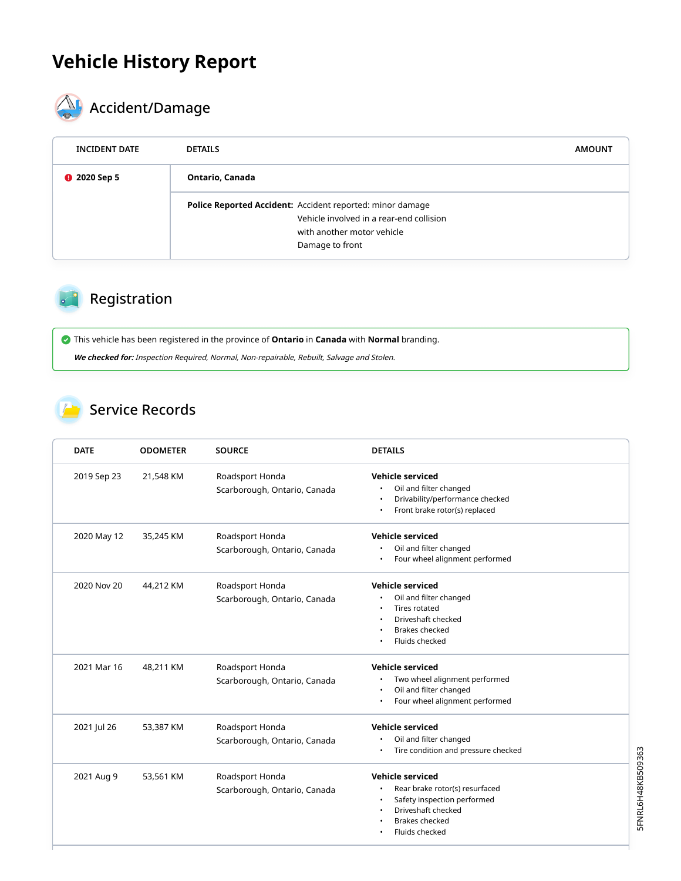## **Vehicle History Report**



# **ACCIDENTIFICATE**

| <b>INCIDENT DATE</b> | <b>DETAILS</b>                                                                                                                                                | <b>AMOUNT</b> |
|----------------------|---------------------------------------------------------------------------------------------------------------------------------------------------------------|---------------|
| <b>@</b> 2020 Sep 5  | Ontario, Canada                                                                                                                                               |               |
|                      | <b>Police Reported Accident:</b> Accident reported: minor damage<br>Vehicle involved in a rear-end collision<br>with another motor vehicle<br>Damage to front |               |

## Registration

 This vehicle has been registered in the province of **Ontario** in **Canada** with **Normal** branding. **We checked for:** Inspection Required, Normal, Non-repairable, Rebuilt, Salvage and Stolen.

#### Service Records

| <b>DATE</b> | <b>ODOMETER</b> | <b>SOURCE</b>                                   | <b>DETAILS</b>                                                                                                                                            |  |
|-------------|-----------------|-------------------------------------------------|-----------------------------------------------------------------------------------------------------------------------------------------------------------|--|
| 2019 Sep 23 | 21,548 KM       | Roadsport Honda<br>Scarborough, Ontario, Canada | <b>Vehicle serviced</b><br>Oil and filter changed<br>Drivability/performance checked<br>Front brake rotor(s) replaced                                     |  |
| 2020 May 12 | 35,245 KM       | Roadsport Honda<br>Scarborough, Ontario, Canada | <b>Vehicle serviced</b><br>Oil and filter changed<br>Four wheel alignment performed                                                                       |  |
| 2020 Nov 20 | 44,212 KM       | Roadsport Honda<br>Scarborough, Ontario, Canada | Vehicle serviced<br>Oil and filter changed<br><b>Tires rotated</b><br>Driveshaft checked<br><b>Brakes checked</b><br>Fluids checked                       |  |
| 2021 Mar 16 | 48,211 KM       | Roadsport Honda<br>Scarborough, Ontario, Canada | <b>Vehicle serviced</b><br>Two wheel alignment performed<br>Oil and filter changed<br>Four wheel alignment performed                                      |  |
| 2021 Jul 26 | 53,387 KM       | Roadsport Honda<br>Scarborough, Ontario, Canada | Vehicle serviced<br>Oil and filter changed<br>Tire condition and pressure checked                                                                         |  |
| 2021 Aug 9  | 53,561 KM       | Roadsport Honda<br>Scarborough, Ontario, Canada | <b>Vehicle serviced</b><br>Rear brake rotor(s) resurfaced<br>Safety inspection performed<br>Driveshaft checked<br><b>Brakes checked</b><br>Fluids checked |  |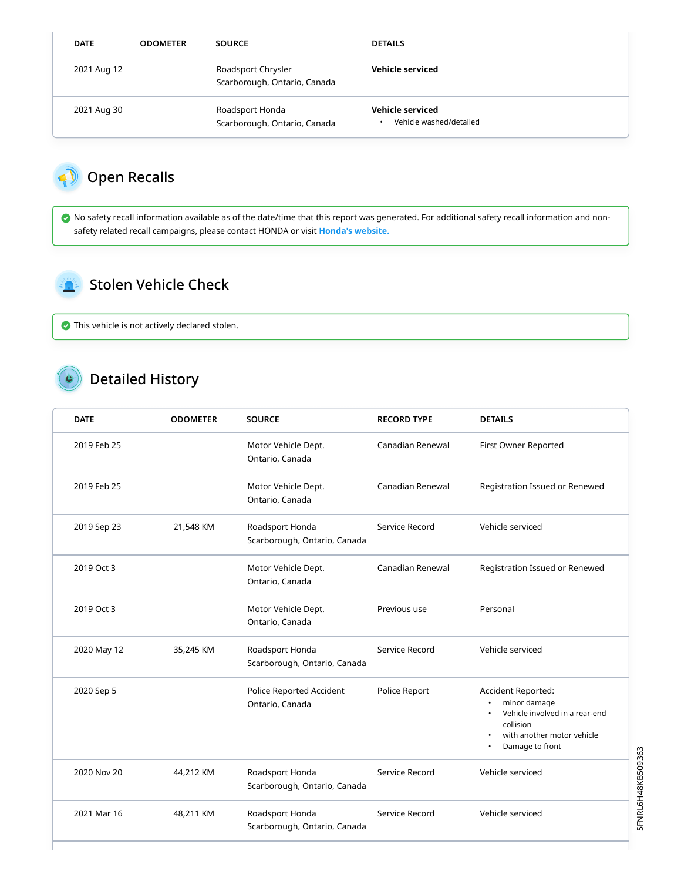| <b>DATE</b> | <b>ODOMETER</b> | <b>SOURCE</b>                                      | <b>DETAILS</b>                              |
|-------------|-----------------|----------------------------------------------------|---------------------------------------------|
| 2021 Aug 12 |                 | Roadsport Chrysler<br>Scarborough, Ontario, Canada | Vehicle serviced                            |
| 2021 Aug 30 |                 | Roadsport Honda<br>Scarborough, Ontario, Canada    | Vehicle serviced<br>Vehicle washed/detailed |

### Open Recalls

N

 No safety recall information available as of the date/time that this report was generated. For additional safety recall information and nonsafety related recall campaigns, please contact HONDA or visit **[Honda's website.](http://www.honda.ca/recalls)**

#### Stolen Vehicle Check

This vehicle is not actively declared stolen.

#### Detailed History

| <b>DATE</b> | <b>ODOMETER</b> | <b>SOURCE</b>                                   | <b>RECORD TYPE</b> | <b>DETAILS</b>                                                                                                                     |
|-------------|-----------------|-------------------------------------------------|--------------------|------------------------------------------------------------------------------------------------------------------------------------|
| 2019 Feb 25 |                 | Motor Vehicle Dept.<br>Ontario, Canada          | Canadian Renewal   | First Owner Reported                                                                                                               |
| 2019 Feb 25 |                 | Motor Vehicle Dept.<br>Ontario, Canada          | Canadian Renewal   | Registration Issued or Renewed                                                                                                     |
| 2019 Sep 23 | 21,548 KM       | Roadsport Honda<br>Scarborough, Ontario, Canada | Service Record     | Vehicle serviced                                                                                                                   |
| 2019 Oct 3  |                 | Motor Vehicle Dept.<br>Ontario, Canada          | Canadian Renewal   | Registration Issued or Renewed                                                                                                     |
| 2019 Oct 3  |                 | Motor Vehicle Dept.<br>Ontario, Canada          | Previous use       | Personal                                                                                                                           |
| 2020 May 12 | 35,245 KM       | Roadsport Honda<br>Scarborough, Ontario, Canada | Service Record     | Vehicle serviced                                                                                                                   |
| 2020 Sep 5  |                 | Police Reported Accident<br>Ontario, Canada     | Police Report      | Accident Reported:<br>minor damage<br>Vehicle involved in a rear-end<br>collision<br>with another motor vehicle<br>Damage to front |
| 2020 Nov 20 | 44,212 KM       | Roadsport Honda<br>Scarborough, Ontario, Canada | Service Record     | Vehicle serviced                                                                                                                   |
| 2021 Mar 16 | 48,211 KM       | Roadsport Honda<br>Scarborough, Ontario, Canada | Service Record     | Vehicle serviced                                                                                                                   |